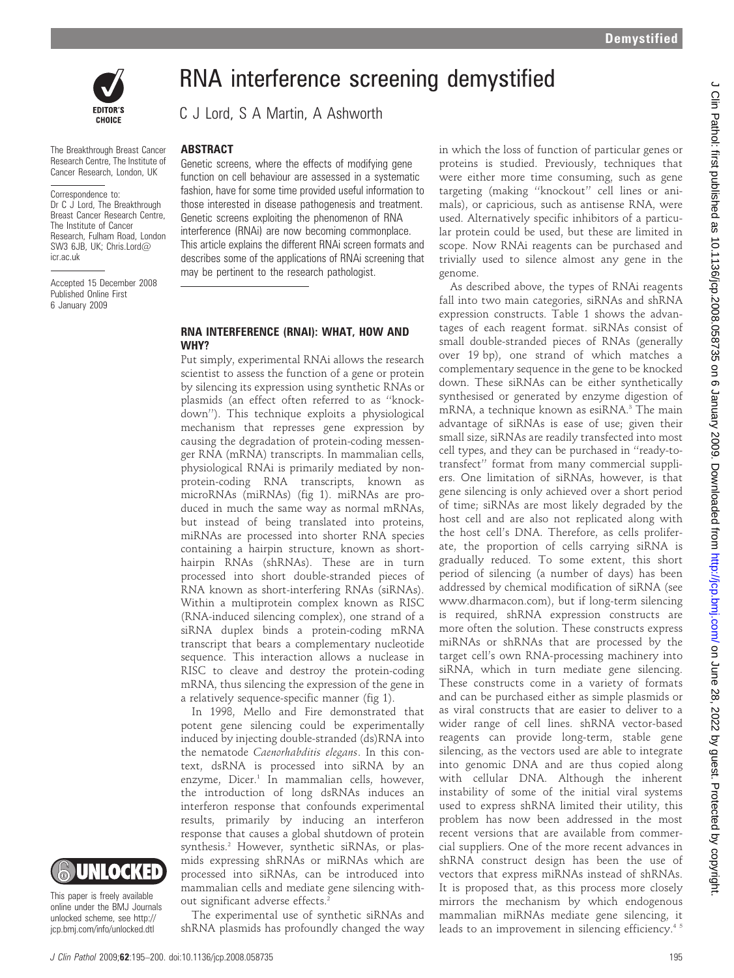

The Breakthrough Breast Cancer Research Centre, The Institute of Cancer Research, London, UK

#### Correspondence to: Dr C J Lord, The Breakthrough Breast Cancer Research Centre, The Institute of Cancer Research, Fulham Road, London SW3 6JB, UK; Chris.Lord@ icr.ac.uk

Accepted 15 December 2008 Published Online First 6 January 2009

# RNA interference screening demystified

C J Lord, S A Martin, A Ashworth

### **ABSTRACT**

Genetic screens, where the effects of modifying gene function on cell behaviour are assessed in a systematic fashion, have for some time provided useful information to those interested in disease pathogenesis and treatment. Genetic screens exploiting the phenomenon of RNA interference (RNAi) are now becoming commonplace. This article explains the different RNAi screen formats and describes some of the applications of RNAi screening that may be pertinent to the research pathologist.

### RNA INTERFERENCE (RNAI): WHAT, HOW AND WHY?

Put simply, experimental RNAi allows the research scientist to assess the function of a gene or protein by silencing its expression using synthetic RNAs or plasmids (an effect often referred to as ''knockdown''). This technique exploits a physiological mechanism that represses gene expression by causing the degradation of protein-coding messenger RNA (mRNA) transcripts. In mammalian cells, physiological RNAi is primarily mediated by nonprotein-coding RNA transcripts, known as microRNAs (miRNAs) (fig 1). miRNAs are produced in much the same way as normal mRNAs, but instead of being translated into proteins, miRNAs are processed into shorter RNA species containing a hairpin structure, known as shorthairpin RNAs (shRNAs). These are in turn processed into short double-stranded pieces of RNA known as short-interfering RNAs (siRNAs). Within a multiprotein complex known as RISC (RNA-induced silencing complex), one strand of a siRNA duplex binds a protein-coding mRNA transcript that bears a complementary nucleotide sequence. This interaction allows a nuclease in RISC to cleave and destroy the protein-coding mRNA, thus silencing the expression of the gene in a relatively sequence-specific manner (fig 1).

In 1998, Mello and Fire demonstrated that potent gene silencing could be experimentally induced by injecting double-stranded (ds)RNA into the nematode Caenorhabditis elegans. In this context, dsRNA is processed into siRNA by an enzyme, Dicer.<sup>1</sup> In mammalian cells, however, the introduction of long dsRNAs induces an interferon response that confounds experimental results, primarily by inducing an interferon response that causes a global shutdown of protein synthesis.<sup>2</sup> However, synthetic siRNAs, or plasmids expressing shRNAs or miRNAs which are processed into siRNAs, can be introduced into mammalian cells and mediate gene silencing without significant adverse effects.<sup>2</sup>

The experimental use of synthetic siRNAs and shRNA plasmids has profoundly changed the way

in which the loss of function of particular genes or proteins is studied. Previously, techniques that were either more time consuming, such as gene targeting (making ''knockout'' cell lines or animals), or capricious, such as antisense RNA, were used. Alternatively specific inhibitors of a particular protein could be used, but these are limited in scope. Now RNAi reagents can be purchased and trivially used to silence almost any gene in the genome.

As described above, the types of RNAi reagents fall into two main categories, siRNAs and shRNA expression constructs. Table 1 shows the advantages of each reagent format. siRNAs consist of small double-stranded pieces of RNAs (generally over 19 bp), one strand of which matches a complementary sequence in the gene to be knocked down. These siRNAs can be either synthetically synthesised or generated by enzyme digestion of mRNA, a technique known as esiRNA.<sup>3</sup> The main advantage of siRNAs is ease of use; given their small size, siRNAs are readily transfected into most cell types, and they can be purchased in ''ready-totransfect'' format from many commercial suppliers. One limitation of siRNAs, however, is that gene silencing is only achieved over a short period of time; siRNAs are most likely degraded by the host cell and are also not replicated along with the host cell's DNA. Therefore, as cells proliferate, the proportion of cells carrying siRNA is gradually reduced. To some extent, this short period of silencing (a number of days) has been addressed by chemical modification of siRNA (see www.dharmacon.com), but if long-term silencing is required, shRNA expression constructs are more often the solution. These constructs express miRNAs or shRNAs that are processed by the target cell's own RNA-processing machinery into siRNA, which in turn mediate gene silencing. These constructs come in a variety of formats and can be purchased either as simple plasmids or as viral constructs that are easier to deliver to a wider range of cell lines. shRNA vector-based reagents can provide long-term, stable gene silencing, as the vectors used are able to integrate into genomic DNA and are thus copied along with cellular DNA. Although the inherent instability of some of the initial viral systems used to express shRNA limited their utility, this problem has now been addressed in the most recent versions that are available from commercial suppliers. One of the more recent advances in shRNA construct design has been the use of vectors that express miRNAs instead of shRNAs. It is proposed that, as this process more closely mirrors the mechanism by which endogenous mammalian miRNAs mediate gene silencing, it leads to an improvement in silencing efficiency.<sup>45</sup>



This paper is freely available online under the BMJ Journals unlocked scheme, see http:// jcp.bmj.com/info/unlocked.dtl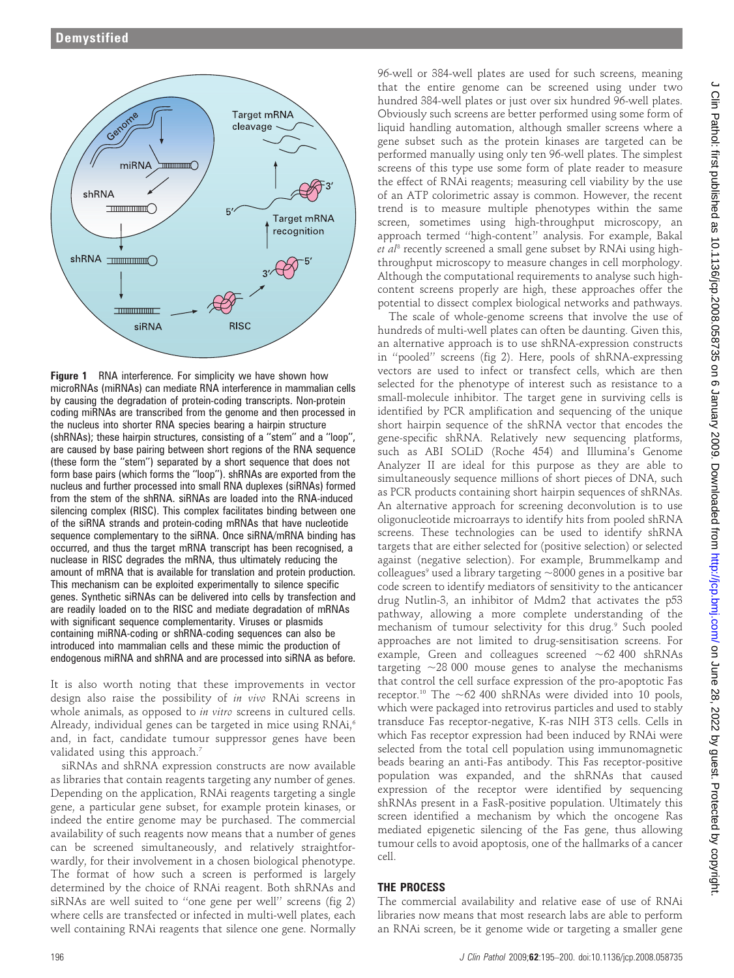

Figure 1 RNA interference. For simplicity we have shown how microRNAs (miRNAs) can mediate RNA interference in mammalian cells by causing the degradation of protein-coding transcripts. Non-protein coding miRNAs are transcribed from the genome and then processed in the nucleus into shorter RNA species bearing a hairpin structure (shRNAs); these hairpin structures, consisting of a ''stem'' and a ''loop'', are caused by base pairing between short regions of the RNA sequence (these form the ''stem'') separated by a short sequence that does not form base pairs (which forms the ''loop''). shRNAs are exported from the nucleus and further processed into small RNA duplexes (siRNAs) formed from the stem of the shRNA. siRNAs are loaded into the RNA-induced silencing complex (RISC). This complex facilitates binding between one of the siRNA strands and protein-coding mRNAs that have nucleotide sequence complementary to the siRNA. Once siRNA/mRNA binding has occurred, and thus the target mRNA transcript has been recognised, a nuclease in RISC degrades the mRNA, thus ultimately reducing the amount of mRNA that is available for translation and protein production. This mechanism can be exploited experimentally to silence specific genes. Synthetic siRNAs can be delivered into cells by transfection and are readily loaded on to the RISC and mediate degradation of mRNAs with significant sequence complementarity. Viruses or plasmids containing miRNA-coding or shRNA-coding sequences can also be introduced into mammalian cells and these mimic the production of endogenous miRNA and shRNA and are processed into siRNA as before.

It is also worth noting that these improvements in vector design also raise the possibility of in vivo RNAi screens in whole animals, as opposed to *in vitro* screens in cultured cells. Already, individual genes can be targeted in mice using RNAi,<sup>6</sup> and, in fact, candidate tumour suppressor genes have been validated using this approach.<sup>7</sup>

siRNAs and shRNA expression constructs are now available as libraries that contain reagents targeting any number of genes. Depending on the application, RNAi reagents targeting a single gene, a particular gene subset, for example protein kinases, or indeed the entire genome may be purchased. The commercial availability of such reagents now means that a number of genes can be screened simultaneously, and relatively straightforwardly, for their involvement in a chosen biological phenotype. The format of how such a screen is performed is largely determined by the choice of RNAi reagent. Both shRNAs and siRNAs are well suited to ''one gene per well'' screens (fig 2) where cells are transfected or infected in multi-well plates, each well containing RNAi reagents that silence one gene. Normally

96-well or 384-well plates are used for such screens, meaning that the entire genome can be screened using under two hundred 384-well plates or just over six hundred 96-well plates. Obviously such screens are better performed using some form of liquid handling automation, although smaller screens where a gene subset such as the protein kinases are targeted can be performed manually using only ten 96-well plates. The simplest screens of this type use some form of plate reader to measure the effect of RNAi reagents; measuring cell viability by the use of an ATP colorimetric assay is common. However, the recent trend is to measure multiple phenotypes within the same screen, sometimes using high-throughput microscopy, an approach termed ''high-content'' analysis. For example, Bakal et  $aI^8$  recently screened a small gene subset by RNAi using highthroughput microscopy to measure changes in cell morphology. Although the computational requirements to analyse such highcontent screens properly are high, these approaches offer the potential to dissect complex biological networks and pathways.

The scale of whole-genome screens that involve the use of hundreds of multi-well plates can often be daunting. Given this, an alternative approach is to use shRNA-expression constructs in ''pooled'' screens (fig 2). Here, pools of shRNA-expressing vectors are used to infect or transfect cells, which are then selected for the phenotype of interest such as resistance to a small-molecule inhibitor. The target gene in surviving cells is identified by PCR amplification and sequencing of the unique short hairpin sequence of the shRNA vector that encodes the gene-specific shRNA. Relatively new sequencing platforms, such as ABI SOLiD (Roche 454) and Illumina's Genome Analyzer II are ideal for this purpose as they are able to simultaneously sequence millions of short pieces of DNA, such as PCR products containing short hairpin sequences of shRNAs. An alternative approach for screening deconvolution is to use oligonucleotide microarrays to identify hits from pooled shRNA screens. These technologies can be used to identify shRNA targets that are either selected for (positive selection) or selected against (negative selection). For example, Brummelkamp and colleagues<sup>9</sup> used a library targeting  $\sim$ 8000 genes in a positive bar code screen to identify mediators of sensitivity to the anticancer drug Nutlin-3, an inhibitor of Mdm2 that activates the p53 pathway, allowing a more complete understanding of the mechanism of tumour selectivity for this drug.<sup>9</sup> Such pooled approaches are not limited to drug-sensitisation screens. For example, Green and colleagues screened  $\sim 62 400$  shRNAs targeting  $\sim$ 28 000 mouse genes to analyse the mechanisms that control the cell surface expression of the pro-apoptotic Fas receptor.<sup>10</sup> The  $\sim$  62 400 shRNAs were divided into 10 pools, which were packaged into retrovirus particles and used to stably transduce Fas receptor-negative, K-ras NIH 3T3 cells. Cells in which Fas receptor expression had been induced by RNAi were selected from the total cell population using immunomagnetic beads bearing an anti-Fas antibody. This Fas receptor-positive population was expanded, and the shRNAs that caused expression of the receptor were identified by sequencing shRNAs present in a FasR-positive population. Ultimately this screen identified a mechanism by which the oncogene Ras mediated epigenetic silencing of the Fas gene, thus allowing tumour cells to avoid apoptosis, one of the hallmarks of a cancer cell.

## THE PROCESS

The commercial availability and relative ease of use of RNAi libraries now means that most research labs are able to perform an RNAi screen, be it genome wide or targeting a smaller gene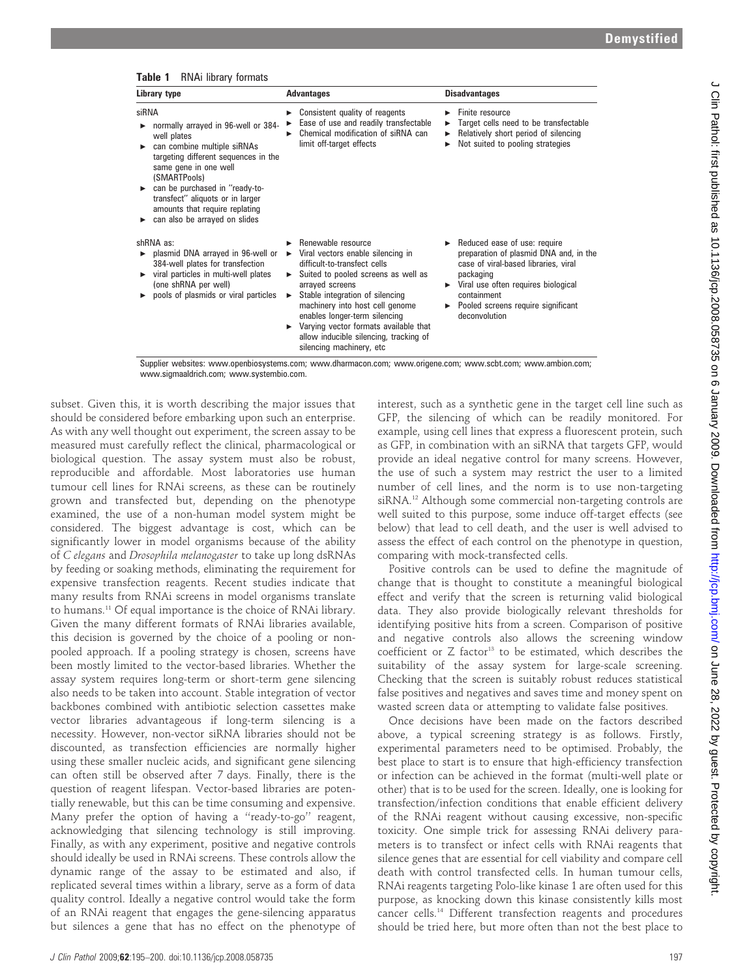Table 1 RNAi library formats

| Library type                                                                                                                                                                                                                                                                                                              | <b>Advantages</b>                                                                                                                                                                                                                                                                                                                                                                                           | <b>Disadvantages</b>                                                                                                                                                                                                                         |
|---------------------------------------------------------------------------------------------------------------------------------------------------------------------------------------------------------------------------------------------------------------------------------------------------------------------------|-------------------------------------------------------------------------------------------------------------------------------------------------------------------------------------------------------------------------------------------------------------------------------------------------------------------------------------------------------------------------------------------------------------|----------------------------------------------------------------------------------------------------------------------------------------------------------------------------------------------------------------------------------------------|
| siRNA<br>normally arrayed in 96-well or 384-<br>well plates<br>can combine multiple siRNAs<br>targeting different sequences in the<br>same gene in one well<br>(SMARTPools)<br>can be purchased in "ready-to-<br>▶<br>transfect" aliguots or in larger<br>amounts that require replating<br>can also be arrayed on slides | Consistent quality of reagents<br>▶<br>Ease of use and readily transfectable<br>▶<br>Chemical modification of siRNA can<br>▶<br>limit off-target effects                                                                                                                                                                                                                                                    | Finite resource<br>ь<br>Target cells need to be transfectable<br>Relatively short period of silencing<br>▶<br>Not suited to pooling strategies<br>ь                                                                                          |
| shRNA as:<br>► plasmid DNA arrayed in 96-well or<br>384-well plates for transfection<br>viral particles in multi-well plates<br>ь<br>(one shRNA per well)<br>pools of plasmids or viral particles<br>►                                                                                                                    | $\blacktriangleright$ Renewable resource<br>► Viral vectors enable silencing in<br>difficult-to-transfect cells<br>► Suited to pooled screens as well as<br>arrayed screens<br>Stable integration of silencing<br>▶<br>machinery into host cell genome<br>enables longer-term silencing<br>Varying vector formats available that<br>▶<br>allow inducible silencing, tracking of<br>silencing machinery, etc | Reduced ease of use: require<br>preparation of plasmid DNA and, in the<br>case of viral-based libraries, viral<br>packaging<br>► Viral use often requires biological<br>containment<br>► Pooled screens require significant<br>deconvolution |

www.openbiosystems.com; www.dharmacon.com; www.origene.com; www.scbt.com; www.ambion.com www.sigmaaldrich.com; www.systembio.com.

subset. Given this, it is worth describing the major issues that should be considered before embarking upon such an enterprise. As with any well thought out experiment, the screen assay to be measured must carefully reflect the clinical, pharmacological or biological question. The assay system must also be robust, reproducible and affordable. Most laboratories use human tumour cell lines for RNAi screens, as these can be routinely grown and transfected but, depending on the phenotype examined, the use of a non-human model system might be considered. The biggest advantage is cost, which can be significantly lower in model organisms because of the ability of C elegans and Drosophila melanogaster to take up long dsRNAs by feeding or soaking methods, eliminating the requirement for expensive transfection reagents. Recent studies indicate that many results from RNAi screens in model organisms translate to humans.<sup>11</sup> Of equal importance is the choice of RNAi library. Given the many different formats of RNAi libraries available, this decision is governed by the choice of a pooling or nonpooled approach. If a pooling strategy is chosen, screens have been mostly limited to the vector-based libraries. Whether the assay system requires long-term or short-term gene silencing also needs to be taken into account. Stable integration of vector backbones combined with antibiotic selection cassettes make vector libraries advantageous if long-term silencing is a necessity. However, non-vector siRNA libraries should not be discounted, as transfection efficiencies are normally higher using these smaller nucleic acids, and significant gene silencing can often still be observed after 7 days. Finally, there is the question of reagent lifespan. Vector-based libraries are potentially renewable, but this can be time consuming and expensive. Many prefer the option of having a ''ready-to-go'' reagent, acknowledging that silencing technology is still improving. Finally, as with any experiment, positive and negative controls should ideally be used in RNAi screens. These controls allow the dynamic range of the assay to be estimated and also, if replicated several times within a library, serve as a form of data quality control. Ideally a negative control would take the form of an RNAi reagent that engages the gene-silencing apparatus but silences a gene that has no effect on the phenotype of

interest, such as a synthetic gene in the target cell line such as GFP, the silencing of which can be readily monitored. For example, using cell lines that express a fluorescent protein, such as GFP, in combination with an siRNA that targets GFP, would provide an ideal negative control for many screens. However, the use of such a system may restrict the user to a limited number of cell lines, and the norm is to use non-targeting siRNA.<sup>12</sup> Although some commercial non-targeting controls are well suited to this purpose, some induce off-target effects (see below) that lead to cell death, and the user is well advised to assess the effect of each control on the phenotype in question, comparing with mock-transfected cells.

Positive controls can be used to define the magnitude of change that is thought to constitute a meaningful biological effect and verify that the screen is returning valid biological data. They also provide biologically relevant thresholds for identifying positive hits from a screen. Comparison of positive and negative controls also allows the screening window coefficient or Z factor<sup>13</sup> to be estimated, which describes the suitability of the assay system for large-scale screening. Checking that the screen is suitably robust reduces statistical false positives and negatives and saves time and money spent on wasted screen data or attempting to validate false positives.

Once decisions have been made on the factors described above, a typical screening strategy is as follows. Firstly, experimental parameters need to be optimised. Probably, the best place to start is to ensure that high-efficiency transfection or infection can be achieved in the format (multi-well plate or other) that is to be used for the screen. Ideally, one is looking for transfection/infection conditions that enable efficient delivery of the RNAi reagent without causing excessive, non-specific toxicity. One simple trick for assessing RNAi delivery parameters is to transfect or infect cells with RNAi reagents that silence genes that are essential for cell viability and compare cell death with control transfected cells. In human tumour cells, RNAi reagents targeting Polo-like kinase 1 are often used for this purpose, as knocking down this kinase consistently kills most cancer cells.14 Different transfection reagents and procedures should be tried here, but more often than not the best place to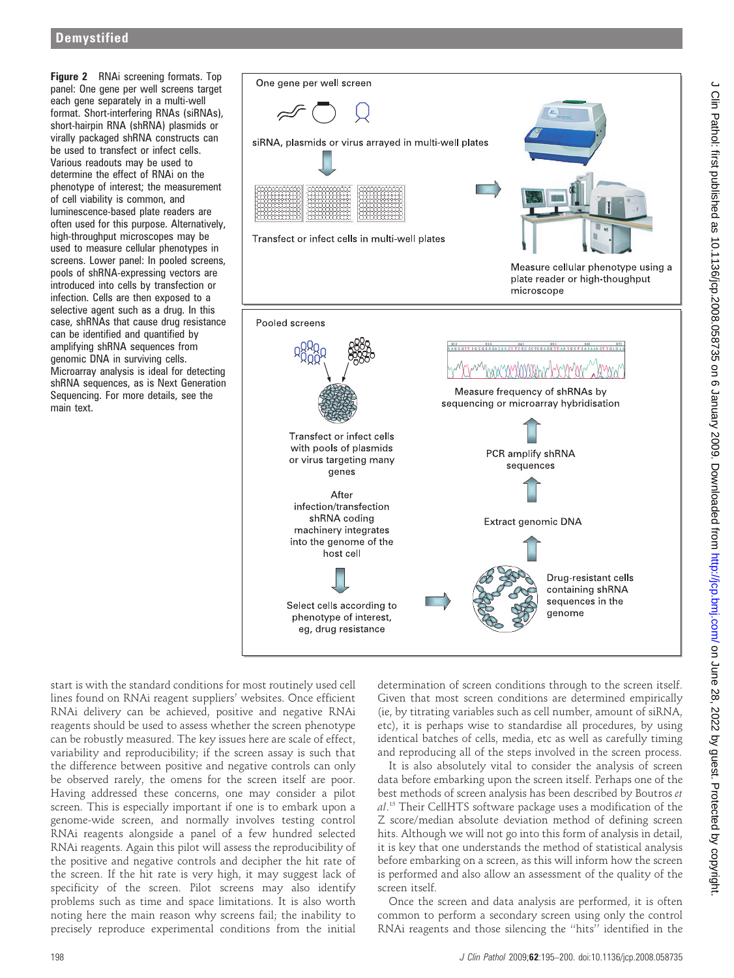Figure 2 RNAi screening formats. Top panel: One gene per well screens target each gene separately in a multi-well format. Short-interfering RNAs (siRNAs), short-hairpin RNA (shRNA) plasmids or virally packaged shRNA constructs can be used to transfect or infect cells. Various readouts may be used to determine the effect of RNAi on the phenotype of interest; the measurement of cell viability is common, and luminescence-based plate readers are often used for this purpose. Alternatively, high-throughput microscopes may be used to measure cellular phenotypes in screens. Lower panel: In pooled screens, pools of shRNA-expressing vectors are introduced into cells by transfection or infection. Cells are then exposed to a selective agent such as a drug. In this case, shRNAs that cause drug resistance can be identified and quantified by amplifying shRNA sequences from genomic DNA in surviving cells. Microarray analysis is ideal for detecting shRNA sequences, as is Next Generation Sequencing. For more details, see the main text.



start is with the standard conditions for most routinely used cell lines found on RNAi reagent suppliers' websites. Once efficient RNAi delivery can be achieved, positive and negative RNAi reagents should be used to assess whether the screen phenotype can be robustly measured. The key issues here are scale of effect, variability and reproducibility; if the screen assay is such that the difference between positive and negative controls can only be observed rarely, the omens for the screen itself are poor. Having addressed these concerns, one may consider a pilot screen. This is especially important if one is to embark upon a genome-wide screen, and normally involves testing control RNAi reagents alongside a panel of a few hundred selected RNAi reagents. Again this pilot will assess the reproducibility of the positive and negative controls and decipher the hit rate of the screen. If the hit rate is very high, it may suggest lack of specificity of the screen. Pilot screens may also identify problems such as time and space limitations. It is also worth noting here the main reason why screens fail; the inability to precisely reproduce experimental conditions from the initial determination of screen conditions through to the screen itself. Given that most screen conditions are determined empirically (ie, by titrating variables such as cell number, amount of siRNA, etc), it is perhaps wise to standardise all procedures, by using identical batches of cells, media, etc as well as carefully timing and reproducing all of the steps involved in the screen process.

It is also absolutely vital to consider the analysis of screen data before embarking upon the screen itself. Perhaps one of the best methods of screen analysis has been described by Boutros et al. <sup>15</sup> Their CellHTS software package uses a modification of the Z score/median absolute deviation method of defining screen hits. Although we will not go into this form of analysis in detail, it is key that one understands the method of statistical analysis before embarking on a screen, as this will inform how the screen is performed and also allow an assessment of the quality of the screen itself.

Once the screen and data analysis are performed, it is often common to perform a secondary screen using only the control RNAi reagents and those silencing the ''hits'' identified in the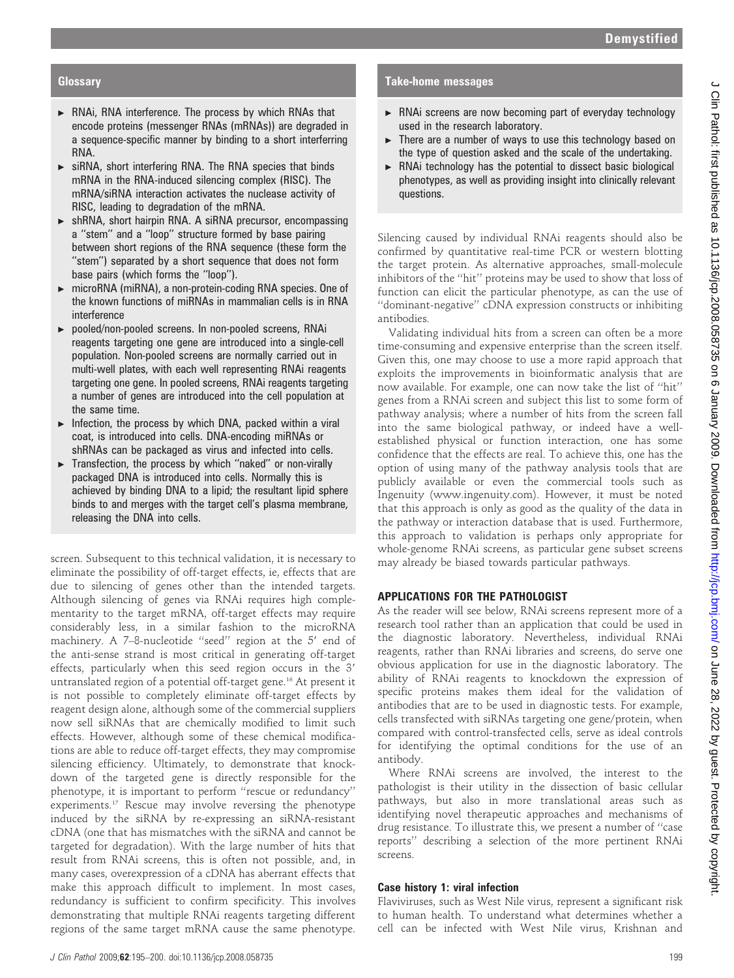## **Glossary**

- $\triangleright$  RNAi, RNA interference. The process by which RNAs that encode proteins (messenger RNAs (mRNAs)) are degraded in a sequence-specific manner by binding to a short interferring RNA.
- $\triangleright$  siRNA, short interfering RNA. The RNA species that binds mRNA in the RNA-induced silencing complex (RISC). The mRNA/siRNA interaction activates the nuclease activity of RISC, leading to degradation of the mRNA.
- $\triangleright$  shRNA, short hairpin RNA. A siRNA precursor, encompassing a ''stem'' and a ''loop'' structure formed by base pairing between short regions of the RNA sequence (these form the ''stem'') separated by a short sequence that does not form base pairs (which forms the ''loop'').
- microRNA (miRNA), a non-protein-coding RNA species. One of the known functions of miRNAs in mammalian cells is in RNA interference
- pooled/non-pooled screens. In non-pooled screens, RNAi reagents targeting one gene are introduced into a single-cell population. Non-pooled screens are normally carried out in multi-well plates, with each well representing RNAi reagents targeting one gene. In pooled screens, RNAi reagents targeting a number of genes are introduced into the cell population at the same time.
- $\triangleright$  Infection, the process by which DNA, packed within a viral coat, is introduced into cells. DNA-encoding miRNAs or shRNAs can be packaged as virus and infected into cells.
- $\triangleright$  Transfection, the process by which "naked" or non-virally packaged DNA is introduced into cells. Normally this is achieved by binding DNA to a lipid; the resultant lipid sphere binds to and merges with the target cell's plasma membrane, releasing the DNA into cells.

screen. Subsequent to this technical validation, it is necessary to eliminate the possibility of off-target effects, ie, effects that are due to silencing of genes other than the intended targets. Although silencing of genes via RNAi requires high complementarity to the target mRNA, off-target effects may require considerably less, in a similar fashion to the microRNA machinery. A 7-8-nucleotide "seed" region at the 5' end of the anti-sense strand is most critical in generating off-target effects, particularly when this seed region occurs in the  $3'$ untranslated region of a potential off-target gene.<sup>16</sup> At present it is not possible to completely eliminate off-target effects by reagent design alone, although some of the commercial suppliers now sell siRNAs that are chemically modified to limit such effects. However, although some of these chemical modifications are able to reduce off-target effects, they may compromise silencing efficiency. Ultimately, to demonstrate that knockdown of the targeted gene is directly responsible for the phenotype, it is important to perform ''rescue or redundancy'' experiments.17 Rescue may involve reversing the phenotype induced by the siRNA by re-expressing an siRNA-resistant cDNA (one that has mismatches with the siRNA and cannot be targeted for degradation). With the large number of hits that result from RNAi screens, this is often not possible, and, in many cases, overexpression of a cDNA has aberrant effects that make this approach difficult to implement. In most cases, redundancy is sufficient to confirm specificity. This involves demonstrating that multiple RNAi reagents targeting different regions of the same target mRNA cause the same phenotype.

## Take-home messages

- $\triangleright$  RNAi screens are now becoming part of everyday technology used in the research laboratory.
- There are a number of ways to use this technology based on the type of question asked and the scale of the undertaking.
- $\triangleright$  RNAi technology has the potential to dissect basic biological phenotypes, as well as providing insight into clinically relevant questions.

Silencing caused by individual RNAi reagents should also be confirmed by quantitative real-time PCR or western blotting the target protein. As alternative approaches, small-molecule inhibitors of the ''hit'' proteins may be used to show that loss of function can elicit the particular phenotype, as can the use of ''dominant-negative'' cDNA expression constructs or inhibiting antibodies.

Validating individual hits from a screen can often be a more time-consuming and expensive enterprise than the screen itself. Given this, one may choose to use a more rapid approach that exploits the improvements in bioinformatic analysis that are now available. For example, one can now take the list of ''hit'' genes from a RNAi screen and subject this list to some form of pathway analysis; where a number of hits from the screen fall into the same biological pathway, or indeed have a wellestablished physical or function interaction, one has some confidence that the effects are real. To achieve this, one has the option of using many of the pathway analysis tools that are publicly available or even the commercial tools such as Ingenuity (www.ingenuity.com). However, it must be noted that this approach is only as good as the quality of the data in the pathway or interaction database that is used. Furthermore, this approach to validation is perhaps only appropriate for whole-genome RNAi screens, as particular gene subset screens may already be biased towards particular pathways.

## APPLICATIONS FOR THE PATHOLOGIST

As the reader will see below, RNAi screens represent more of a research tool rather than an application that could be used in the diagnostic laboratory. Nevertheless, individual RNAi reagents, rather than RNAi libraries and screens, do serve one obvious application for use in the diagnostic laboratory. The ability of RNAi reagents to knockdown the expression of specific proteins makes them ideal for the validation of antibodies that are to be used in diagnostic tests. For example, cells transfected with siRNAs targeting one gene/protein, when compared with control-transfected cells, serve as ideal controls for identifying the optimal conditions for the use of an antibody.

Where RNAi screens are involved, the interest to the pathologist is their utility in the dissection of basic cellular pathways, but also in more translational areas such as identifying novel therapeutic approaches and mechanisms of drug resistance. To illustrate this, we present a number of ''case reports'' describing a selection of the more pertinent RNAi screens.

## Case history 1: viral infection

Flaviviruses, such as West Nile virus, represent a significant risk to human health. To understand what determines whether a cell can be infected with West Nile virus, Krishnan and